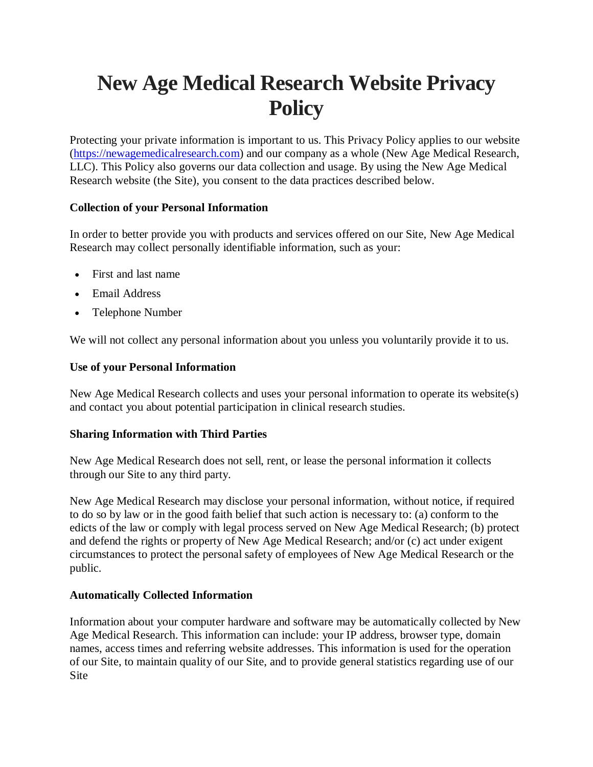# **New Age Medical Research Website Privacy Policy**

Protecting your private information is important to us. This Privacy Policy applies to our website (https://newagemedicalresearch.com) and our company as a whole (New Age Medical Research, LLC). This Policy also governs our data collection and usage. By using the New Age Medical Research website (the Site), you consent to the data practices described below.

## **Collection of your Personal Information**

In order to better provide you with products and services offered on our Site, New Age Medical Research may collect personally identifiable information, such as your:

- First and last name
- Email Address
- Telephone Number

We will not collect any personal information about you unless you voluntarily provide it to us.

## **Use of your Personal Information**

New Age Medical Research collects and uses your personal information to operate its website(s) and contact you about potential participation in clinical research studies.

## **Sharing Information with Third Parties**

New Age Medical Research does not sell, rent, or lease the personal information it collects through our Site to any third party.

New Age Medical Research may disclose your personal information, without notice, if required to do so by law or in the good faith belief that such action is necessary to: (a) conform to the edicts of the law or comply with legal process served on New Age Medical Research; (b) protect and defend the rights or property of New Age Medical Research; and/or (c) act under exigent circumstances to protect the personal safety of employees of New Age Medical Research or the public.

## **Automatically Collected Information**

Information about your computer hardware and software may be automatically collected by New Age Medical Research. This information can include: your IP address, browser type, domain names, access times and referring website addresses. This information is used for the operation of our Site, to maintain quality of our Site, and to provide general statistics regarding use of our Site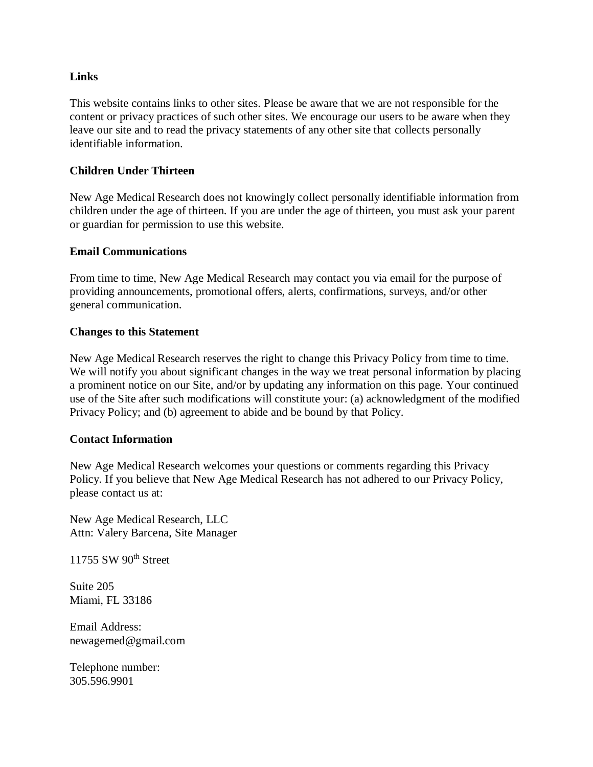## **Links**

This website contains links to other sites. Please be aware that we are not responsible for the content or privacy practices of such other sites. We encourage our users to be aware when they leave our site and to read the privacy statements of any other site that collects personally identifiable information.

## **Children Under Thirteen**

New Age Medical Research does not knowingly collect personally identifiable information from children under the age of thirteen. If you are under the age of thirteen, you must ask your parent or guardian for permission to use this website.

#### **Email Communications**

From time to time, New Age Medical Research may contact you via email for the purpose of providing announcements, promotional offers, alerts, confirmations, surveys, and/or other general communication.

#### **Changes to this Statement**

New Age Medical Research reserves the right to change this Privacy Policy from time to time. We will notify you about significant changes in the way we treat personal information by placing a prominent notice on our Site, and/or by updating any information on this page. Your continued use of the Site after such modifications will constitute your: (a) acknowledgment of the modified Privacy Policy; and (b) agreement to abide and be bound by that Policy.

## **Contact Information**

New Age Medical Research welcomes your questions or comments regarding this Privacy Policy. If you believe that New Age Medical Research has not adhered to our Privacy Policy, please contact us at:

New Age Medical Research, LLC Attn: Valery Barcena, Site Manager

11755 SW 90<sup>th</sup> Street

Suite 205 Miami, FL 33186

Email Address: newagemed@gmail.com

Telephone number: 305.596.9901